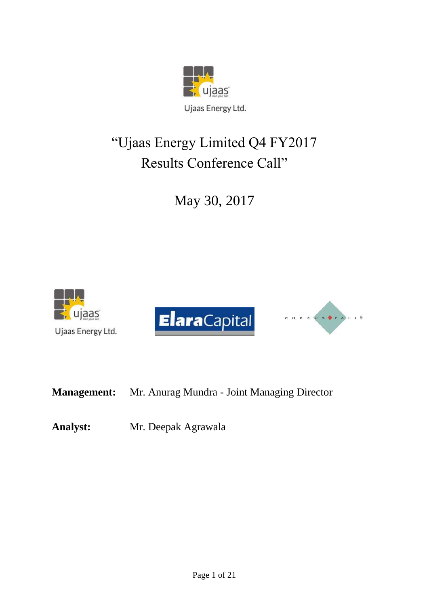

# "Ujaas Energy Limited Q4 FY2017 Results Conference Call"

May 30, 2017







**Management:** Mr. Anurag Mundra - Joint Managing Director

**Analyst:** Mr. Deepak Agrawala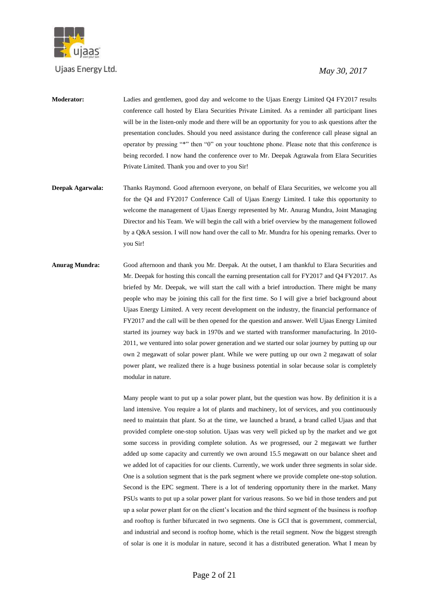

#### *May 30, 2017*

- **Moderator:** Ladies and gentlemen, good day and welcome to the Ujaas Energy Limited Q4 FY2017 results conference call hosted by Elara Securities Private Limited. As a reminder all participant lines will be in the listen-only mode and there will be an opportunity for you to ask questions after the presentation concludes. Should you need assistance during the conference call please signal an operator by pressing "\*" then "0" on your touchtone phone. Please note that this conference is being recorded. I now hand the conference over to Mr. Deepak Agrawala from Elara Securities Private Limited. Thank you and over to you Sir!
- **Deepak Agarwala:** Thanks Raymond. Good afternoon everyone, on behalf of Elara Securities, we welcome you all for the Q4 and FY2017 Conference Call of Ujaas Energy Limited. I take this opportunity to welcome the management of Ujaas Energy represented by Mr. Anurag Mundra, Joint Managing Director and his Team. We will begin the call with a brief overview by the management followed by a Q&A session. I will now hand over the call to Mr. Mundra for his opening remarks. Over to you Sir!
- **Anurag Mundra:** Good afternoon and thank you Mr. Deepak. At the outset, I am thankful to Elara Securities and Mr. Deepak for hosting this concall the earning presentation call for FY2017 and Q4 FY2017. As briefed by Mr. Deepak, we will start the call with a brief introduction. There might be many people who may be joining this call for the first time. So I will give a brief background about Ujaas Energy Limited. A very recent development on the industry, the financial performance of FY2017 and the call will be then opened for the question and answer. Well Ujaas Energy Limited started its journey way back in 1970s and we started with transformer manufacturing. In 2010- 2011, we ventured into solar power generation and we started our solar journey by putting up our own 2 megawatt of solar power plant. While we were putting up our own 2 megawatt of solar power plant, we realized there is a huge business potential in solar because solar is completely modular in nature.

Many people want to put up a solar power plant, but the question was how. By definition it is a land intensive. You require a lot of plants and machinery, lot of services, and you continuously need to maintain that plant. So at the time, we launched a brand, a brand called Ujaas and that provided complete one-stop solution. Ujaas was very well picked up by the market and we got some success in providing complete solution. As we progressed, our 2 megawatt we further added up some capacity and currently we own around 15.5 megawatt on our balance sheet and we added lot of capacities for our clients. Currently, we work under three segments in solar side. One is a solution segment that is the park segment where we provide complete one-stop solution. Second is the EPC segment. There is a lot of tendering opportunity there in the market. Many PSUs wants to put up a solar power plant for various reasons. So we bid in those tenders and put up a solar power plant for on the client's location and the third segment of the business is rooftop and rooftop is further bifurcated in two segments. One is GCI that is government, commercial, and industrial and second is rooftop home, which is the retail segment. Now the biggest strength of solar is one it is modular in nature, second it has a distributed generation. What I mean by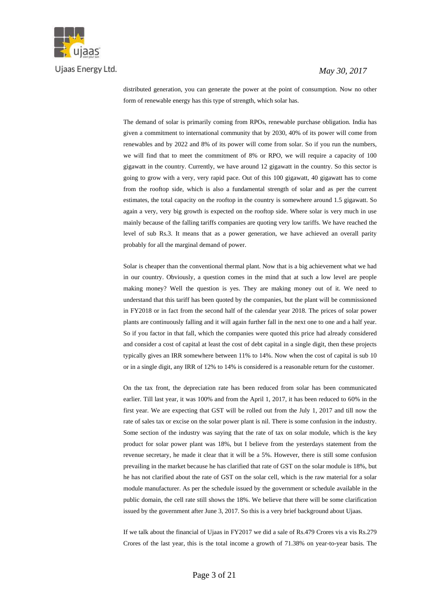

#### *May 30, 2017*

distributed generation, you can generate the power at the point of consumption. Now no other form of renewable energy has this type of strength, which solar has.

The demand of solar is primarily coming from RPOs, renewable purchase obligation. India has given a commitment to international community that by 2030, 40% of its power will come from renewables and by 2022 and 8% of its power will come from solar. So if you run the numbers, we will find that to meet the commitment of 8% or RPO, we will require a capacity of 100 gigawatt in the country. Currently, we have around 12 gigawatt in the country. So this sector is going to grow with a very, very rapid pace. Out of this 100 gigawatt, 40 gigawatt has to come from the rooftop side, which is also a fundamental strength of solar and as per the current estimates, the total capacity on the rooftop in the country is somewhere around 1.5 gigawatt. So again a very, very big growth is expected on the rooftop side. Where solar is very much in use mainly because of the falling tariffs companies are quoting very low tariffs. We have reached the level of sub Rs.3. It means that as a power generation, we have achieved an overall parity probably for all the marginal demand of power.

Solar is cheaper than the conventional thermal plant. Now that is a big achievement what we had in our country. Obviously, a question comes in the mind that at such a low level are people making money? Well the question is yes. They are making money out of it. We need to understand that this tariff has been quoted by the companies, but the plant will be commissioned in FY2018 or in fact from the second half of the calendar year 2018. The prices of solar power plants are continuously falling and it will again further fall in the next one to one and a half year. So if you factor in that fall, which the companies were quoted this price had already considered and consider a cost of capital at least the cost of debt capital in a single digit, then these projects typically gives an IRR somewhere between 11% to 14%. Now when the cost of capital is sub 10 or in a single digit, any IRR of 12% to 14% is considered is a reasonable return for the customer.

On the tax front, the depreciation rate has been reduced from solar has been communicated earlier. Till last year, it was 100% and from the April 1, 2017, it has been reduced to 60% in the first year. We are expecting that GST will be rolled out from the July 1, 2017 and till now the rate of sales tax or excise on the solar power plant is nil. There is some confusion in the industry. Some section of the industry was saying that the rate of tax on solar module, which is the key product for solar power plant was 18%, but I believe from the yesterdays statement from the revenue secretary, he made it clear that it will be a 5%. However, there is still some confusion prevailing in the market because he has clarified that rate of GST on the solar module is 18%, but he has not clarified about the rate of GST on the solar cell, which is the raw material for a solar module manufacturer. As per the schedule issued by the government or schedule available in the public domain, the cell rate still shows the 18%. We believe that there will be some clarification issued by the government after June 3, 2017. So this is a very brief background about Ujaas.

If we talk about the financial of Ujaas in FY2017 we did a sale of Rs.479 Crores vis a vis Rs.279 Crores of the last year, this is the total income a growth of 71.38% on year-to-year basis. The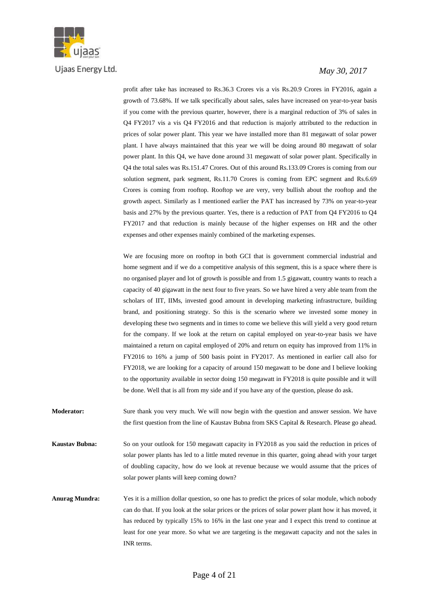

#### *May 30, 2017*

profit after take has increased to Rs.36.3 Crores vis a vis Rs.20.9 Crores in FY2016, again a growth of 73.68%. If we talk specifically about sales, sales have increased on year-to-year basis if you come with the previous quarter, however, there is a marginal reduction of 3% of sales in Q4 FY2017 vis a vis Q4 FY2016 and that reduction is majorly attributed to the reduction in prices of solar power plant. This year we have installed more than 81 megawatt of solar power plant. I have always maintained that this year we will be doing around 80 megawatt of solar power plant. In this Q4, we have done around 31 megawatt of solar power plant. Specifically in Q4 the total sales was Rs.151.47 Crores. Out of this around Rs.133.09 Crores is coming from our solution segment, park segment, Rs.11.70 Crores is coming from EPC segment and Rs.6.69 Crores is coming from rooftop. Rooftop we are very, very bullish about the rooftop and the growth aspect. Similarly as I mentioned earlier the PAT has increased by 73% on year-to-year basis and 27% by the previous quarter. Yes, there is a reduction of PAT from Q4 FY2016 to Q4 FY2017 and that reduction is mainly because of the higher expenses on HR and the other expenses and other expenses mainly combined of the marketing expenses.

We are focusing more on rooftop in both GCI that is government commercial industrial and home segment and if we do a competitive analysis of this segment, this is a space where there is no organised player and lot of growth is possible and from 1.5 gigawatt, country wants to reach a capacity of 40 gigawatt in the next four to five years. So we have hired a very able team from the scholars of IIT, IIMs, invested good amount in developing marketing infrastructure, building brand, and positioning strategy. So this is the scenario where we invested some money in developing these two segments and in times to come we believe this will yield a very good return for the company. If we look at the return on capital employed on year-to-year basis we have maintained a return on capital employed of 20% and return on equity has improved from 11% in FY2016 to 16% a jump of 500 basis point in FY2017. As mentioned in earlier call also for FY2018, we are looking for a capacity of around 150 megawatt to be done and I believe looking to the opportunity available in sector doing 150 megawatt in FY2018 is quite possible and it will be done. Well that is all from my side and if you have any of the question, please do ask.

**Moderator:** Sure thank you very much. We will now begin with the question and answer session. We have the first question from the line of Kaustav Bubna from SKS Capital & Research. Please go ahead.

**Kaustav Bubna:** So on your outlook for 150 megawatt capacity in FY2018 as you said the reduction in prices of solar power plants has led to a little muted revenue in this quarter, going ahead with your target of doubling capacity, how do we look at revenue because we would assume that the prices of solar power plants will keep coming down?

**Anurag Mundra:** Yes it is a million dollar question, so one has to predict the prices of solar module, which nobody can do that. If you look at the solar prices or the prices of solar power plant how it has moved, it has reduced by typically 15% to 16% in the last one year and I expect this trend to continue at least for one year more. So what we are targeting is the megawatt capacity and not the sales in INR terms.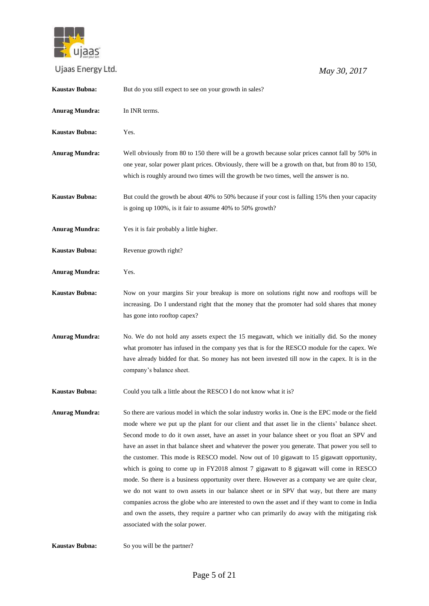

 *May 30, 2017*

| <b>Anurag Mundra:</b><br>In INR terms.<br><b>Kaustav Bubna:</b><br>Yes.<br><b>Anurag Mundra:</b><br>Well obviously from 80 to 150 there will be a growth because solar prices cannot fall by 50% in<br>one year, solar power plant prices. Obviously, there will be a growth on that, but from 80 to 150,<br>which is roughly around two times will the growth be two times, well the answer is no.<br>Kaustav Bubna:<br>But could the growth be about 40% to 50% because if your cost is falling 15% then your capacity<br>is going up 100%, is it fair to assume 40% to 50% growth?<br><b>Anurag Mundra:</b><br>Yes it is fair probably a little higher.<br>Kaustav Bubna:<br>Revenue growth right?<br>Yes.<br><b>Anurag Mundra:</b><br><b>Kaustav Bubna:</b><br>Now on your margins Sir your breakup is more on solutions right now and rooftops will be<br>increasing. Do I understand right that the money that the promoter had sold shares that money                                                                                                  |
|---------------------------------------------------------------------------------------------------------------------------------------------------------------------------------------------------------------------------------------------------------------------------------------------------------------------------------------------------------------------------------------------------------------------------------------------------------------------------------------------------------------------------------------------------------------------------------------------------------------------------------------------------------------------------------------------------------------------------------------------------------------------------------------------------------------------------------------------------------------------------------------------------------------------------------------------------------------------------------------------------------------------------------------------------------------|
|                                                                                                                                                                                                                                                                                                                                                                                                                                                                                                                                                                                                                                                                                                                                                                                                                                                                                                                                                                                                                                                               |
|                                                                                                                                                                                                                                                                                                                                                                                                                                                                                                                                                                                                                                                                                                                                                                                                                                                                                                                                                                                                                                                               |
|                                                                                                                                                                                                                                                                                                                                                                                                                                                                                                                                                                                                                                                                                                                                                                                                                                                                                                                                                                                                                                                               |
|                                                                                                                                                                                                                                                                                                                                                                                                                                                                                                                                                                                                                                                                                                                                                                                                                                                                                                                                                                                                                                                               |
|                                                                                                                                                                                                                                                                                                                                                                                                                                                                                                                                                                                                                                                                                                                                                                                                                                                                                                                                                                                                                                                               |
|                                                                                                                                                                                                                                                                                                                                                                                                                                                                                                                                                                                                                                                                                                                                                                                                                                                                                                                                                                                                                                                               |
|                                                                                                                                                                                                                                                                                                                                                                                                                                                                                                                                                                                                                                                                                                                                                                                                                                                                                                                                                                                                                                                               |
| has gone into rooftop capex?                                                                                                                                                                                                                                                                                                                                                                                                                                                                                                                                                                                                                                                                                                                                                                                                                                                                                                                                                                                                                                  |
| <b>Anurag Mundra:</b><br>No. We do not hold any assets expect the 15 megawatt, which we initially did. So the money<br>what promoter has infused in the company yes that is for the RESCO module for the capex. We<br>have already bidded for that. So money has not been invested till now in the capex. It is in the<br>company's balance sheet.                                                                                                                                                                                                                                                                                                                                                                                                                                                                                                                                                                                                                                                                                                            |
| <b>Kaustav Bubna:</b><br>Could you talk a little about the RESCO I do not know what it is?                                                                                                                                                                                                                                                                                                                                                                                                                                                                                                                                                                                                                                                                                                                                                                                                                                                                                                                                                                    |
| <b>Anurag Mundra:</b><br>So there are various model in which the solar industry works in. One is the EPC mode or the field<br>mode where we put up the plant for our client and that asset lie in the clients' balance sheet.<br>Second mode to do it own asset, have an asset in your balance sheet or you float an SPV and<br>have an asset in that balance sheet and whatever the power you generate. That power you sell to<br>the customer. This mode is RESCO model. Now out of 10 gigawatt to 15 gigawatt opportunity,<br>which is going to come up in FY2018 almost 7 gigawatt to 8 gigawatt will come in RESCO<br>mode. So there is a business opportunity over there. However as a company we are quite clear,<br>we do not want to own assets in our balance sheet or in SPV that way, but there are many<br>companies across the globe who are interested to own the asset and if they want to come in India<br>and own the assets, they require a partner who can primarily do away with the mitigating risk<br>associated with the solar power. |

**Kaustav Bubna:** So you will be the partner?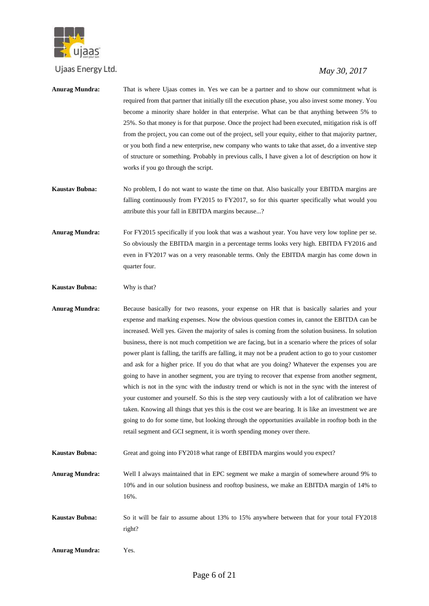

- **Anurag Mundra:** That is where Ujaas comes in. Yes we can be a partner and to show our commitment what is required from that partner that initially till the execution phase, you also invest some money. You become a minority share holder in that enterprise. What can be that anything between 5% to 25%. So that money is for that purpose. Once the project had been executed, mitigation risk is off from the project, you can come out of the project, sell your equity, either to that majority partner, or you both find a new enterprise, new company who wants to take that asset, do a inventive step of structure or something. Probably in previous calls, I have given a lot of description on how it works if you go through the script.
- **Kaustav Bubna:** No problem, I do not want to waste the time on that. Also basically your EBITDA margins are falling continuously from FY2015 to FY2017, so for this quarter specifically what would you attribute this your fall in EBITDA margins because...?
- **Anurag Mundra:** For FY2015 specifically if you look that was a washout year. You have very low topline per se. So obviously the EBITDA margin in a percentage terms looks very high. EBITDA FY2016 and even in FY2017 was on a very reasonable terms. Only the EBITDA margin has come down in quarter four.
- **Kaustav Bubna:** Why is that?
- **Anurag Mundra:** Because basically for two reasons, your expense on HR that is basically salaries and your expense and marking expenses. Now the obvious question comes in, cannot the EBITDA can be increased. Well yes. Given the majority of sales is coming from the solution business. In solution business, there is not much competition we are facing, but in a scenario where the prices of solar power plant is falling, the tariffs are falling, it may not be a prudent action to go to your customer and ask for a higher price. If you do that what are you doing? Whatever the expenses you are going to have in another segment, you are trying to recover that expense from another segment, which is not in the sync with the industry trend or which is not in the sync with the interest of your customer and yourself. So this is the step very cautiously with a lot of calibration we have taken. Knowing all things that yes this is the cost we are bearing. It is like an investment we are going to do for some time, but looking through the opportunities available in rooftop both in the retail segment and GCI segment, it is worth spending money over there.
- **Kaustav Bubna:** Great and going into FY2018 what range of EBITDA margins would you expect?
- **Anurag Mundra:** Well I always maintained that in EPC segment we make a margin of somewhere around 9% to 10% and in our solution business and rooftop business, we make an EBITDA margin of 14% to 16%.
- **Kaustav Bubna:** So it will be fair to assume about 13% to 15% anywhere between that for your total FY2018 right?
- **Anurag Mundra:** Yes.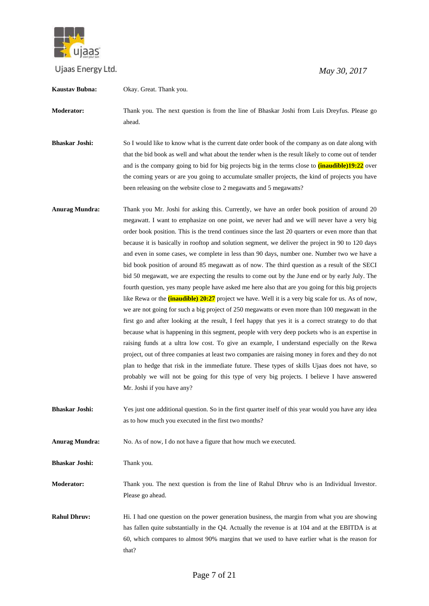

| Kaustav Bubna:        | Okay. Great. Thank you.                                                                                                                                                                                                                                                                                                                                                                                                                                                                                                                                                                                                                                                                                                                                                                                                                                                                                                                                                                                                                                                                                                                                                                                                                                                                                                                                                                                                                                                                                                                                                                                                                                                |
|-----------------------|------------------------------------------------------------------------------------------------------------------------------------------------------------------------------------------------------------------------------------------------------------------------------------------------------------------------------------------------------------------------------------------------------------------------------------------------------------------------------------------------------------------------------------------------------------------------------------------------------------------------------------------------------------------------------------------------------------------------------------------------------------------------------------------------------------------------------------------------------------------------------------------------------------------------------------------------------------------------------------------------------------------------------------------------------------------------------------------------------------------------------------------------------------------------------------------------------------------------------------------------------------------------------------------------------------------------------------------------------------------------------------------------------------------------------------------------------------------------------------------------------------------------------------------------------------------------------------------------------------------------------------------------------------------------|
| Moderator:            | Thank you. The next question is from the line of Bhaskar Joshi from Luis Dreyfus. Please go<br>ahead.                                                                                                                                                                                                                                                                                                                                                                                                                                                                                                                                                                                                                                                                                                                                                                                                                                                                                                                                                                                                                                                                                                                                                                                                                                                                                                                                                                                                                                                                                                                                                                  |
| <b>Bhaskar Joshi:</b> | So I would like to know what is the current date order book of the company as on date along with<br>that the bid book as well and what about the tender when is the result likely to come out of tender<br>and is the company going to bid for big projects big in the terms close to <b>(inaudible)19:22</b> over<br>the coming years or are you going to accumulate smaller projects, the kind of projects you have<br>been releasing on the website close to 2 megawatts and 5 megawatts?                                                                                                                                                                                                                                                                                                                                                                                                                                                                                                                                                                                                                                                                                                                                                                                                                                                                                                                                                                                                                                                                                                                                                                           |
| <b>Anurag Mundra:</b> | Thank you Mr. Joshi for asking this. Currently, we have an order book position of around 20<br>megawatt. I want to emphasize on one point, we never had and we will never have a very big<br>order book position. This is the trend continues since the last 20 quarters or even more than that<br>because it is basically in rooftop and solution segment, we deliver the project in 90 to 120 days<br>and even in some cases, we complete in less than 90 days, number one. Number two we have a<br>bid book position of around 85 megawatt as of now. The third question as a result of the SECI<br>bid 50 megawatt, we are expecting the results to come out by the June end or by early July. The<br>fourth question, yes many people have asked me here also that are you going for this big projects<br>like Rewa or the <i>(inaudible)</i> 20:27 project we have. Well it is a very big scale for us. As of now,<br>we are not going for such a big project of 250 megawatts or even more than 100 megawatt in the<br>first go and after looking at the result, I feel happy that yes it is a correct strategy to do that<br>because what is happening in this segment, people with very deep pockets who is an expertise in<br>raising funds at a ultra low cost. To give an example, I understand especially on the Rewa<br>project, out of three companies at least two companies are raising money in forex and they do not<br>plan to hedge that risk in the immediate future. These types of skills Ujaas does not have, so<br>probably we will not be going for this type of very big projects. I believe I have answered<br>Mr. Joshi if you have any? |
| <b>Bhaskar Joshi:</b> | Yes just one additional question. So in the first quarter itself of this year would you have any idea<br>as to how much you executed in the first two months?                                                                                                                                                                                                                                                                                                                                                                                                                                                                                                                                                                                                                                                                                                                                                                                                                                                                                                                                                                                                                                                                                                                                                                                                                                                                                                                                                                                                                                                                                                          |
| <b>Anurag Mundra:</b> | No. As of now, I do not have a figure that how much we executed.                                                                                                                                                                                                                                                                                                                                                                                                                                                                                                                                                                                                                                                                                                                                                                                                                                                                                                                                                                                                                                                                                                                                                                                                                                                                                                                                                                                                                                                                                                                                                                                                       |
| <b>Bhaskar Joshi:</b> | Thank you.                                                                                                                                                                                                                                                                                                                                                                                                                                                                                                                                                                                                                                                                                                                                                                                                                                                                                                                                                                                                                                                                                                                                                                                                                                                                                                                                                                                                                                                                                                                                                                                                                                                             |
| Moderator:            | Thank you. The next question is from the line of Rahul Dhruv who is an Individual Investor.<br>Please go ahead.                                                                                                                                                                                                                                                                                                                                                                                                                                                                                                                                                                                                                                                                                                                                                                                                                                                                                                                                                                                                                                                                                                                                                                                                                                                                                                                                                                                                                                                                                                                                                        |
| <b>Rahul Dhruv:</b>   | Hi. I had one question on the power generation business, the margin from what you are showing<br>has fallen quite substantially in the Q4. Actually the revenue is at 104 and at the EBITDA is at<br>60, which compares to almost 90% margins that we used to have earlier what is the reason for<br>that?                                                                                                                                                                                                                                                                                                                                                                                                                                                                                                                                                                                                                                                                                                                                                                                                                                                                                                                                                                                                                                                                                                                                                                                                                                                                                                                                                             |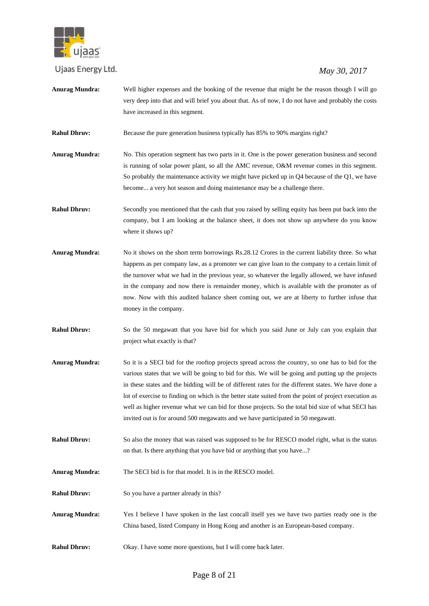

# *May 30, 2017*

**Anurag Mundra:** Well higher expenses and the booking of the revenue that might be the reason though I will go very deep into that and will brief you about that. As of now, I do not have and probably the costs have increased in this segment.

**Rahul Dhruv:** Because the pure generation business typically has 85% to 90% margins right?

**Anurag Mundra:** No. This operation segment has two parts in it. One is the power generation business and second is running of solar power plant, so all the AMC revenue, O&M revenue comes in this segment. So probably the maintenance activity we might have picked up in Q4 because of the Q1, we have become... a very hot season and doing maintenance may be a challenge there.

**Rahul Dhruv:** Secondly you mentioned that the cash that you raised by selling equity has been put back into the company, but I am looking at the balance sheet, it does not show up anywhere do you know where it shows up?

- **Anurag Mundra:** No it shows on the short term borrowings Rs.28.12 Crores in the current liability three. So what happens as per company law, as a promoter we can give loan to the company to a certain limit of the turnover what we had in the previous year, so whatever the legally allowed, we have infused in the company and now there is remainder money, which is available with the promoter as of now. Now with this audited balance sheet coming out, we are at liberty to further infuse that money in the company.
- **Rahul Dhruv:** So the 50 megawatt that you have bid for which you said June or July can you explain that project what exactly is that?
- **Anurag Mundra:** So it is a SECI bid for the rooftop projects spread across the country, so one has to bid for the various states that we will be going to bid for this. We will be going and putting up the projects in these states and the bidding will be of different rates for the different states. We have done a lot of exercise to finding on which is the better state suited from the point of project execution as well as higher revenue what we can bid for those projects. So the total bid size of what SECI has invited out is for around 500 megawatts and we have participated in 50 megawatt.
- **Rahul Dhruv:** So also the money that was raised was supposed to be for RESCO model right, what is the status on that. Is there anything that you have bid or anything that you have...?
- **Anurag Mundra:** The SECI bid is for that model. It is in the RESCO model.

**Rahul Dhruv:** So you have a partner already in this?

- **Anurag Mundra:** Yes I believe I have spoken in the last concall itself yes we have two parties ready one is the China based, listed Company in Hong Kong and another is an European-based company.
- **Rahul Dhruv:** Okay. I have some more questions, but I will come back later.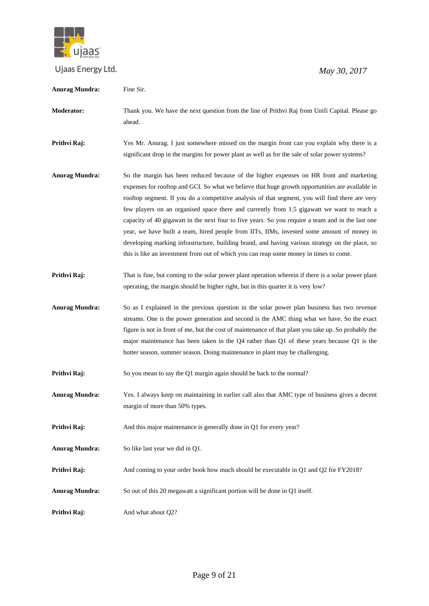

| Anurag Mundra:        | Fine Sir.                                                                                                                                                                                                                                                                                                                                                                                                                                                                                                                                                                                                                                                                                                                                                                                    |
|-----------------------|----------------------------------------------------------------------------------------------------------------------------------------------------------------------------------------------------------------------------------------------------------------------------------------------------------------------------------------------------------------------------------------------------------------------------------------------------------------------------------------------------------------------------------------------------------------------------------------------------------------------------------------------------------------------------------------------------------------------------------------------------------------------------------------------|
| Moderator:            | Thank you. We have the next question from the line of Prithvi Raj from Unifi Capital. Please go<br>ahead.                                                                                                                                                                                                                                                                                                                                                                                                                                                                                                                                                                                                                                                                                    |
| Prithvi Raj:          | Yes Mr. Anurag. I just somewhere missed on the margin front can you explain why there is a<br>significant drop in the margins for power plant as well as for the sale of solar power systems?                                                                                                                                                                                                                                                                                                                                                                                                                                                                                                                                                                                                |
| <b>Anurag Mundra:</b> | So the margin has been reduced because of the higher expenses on HR front and marketing<br>expenses for rooftop and GCI. So what we believe that huge growth opportunities are available in<br>rooftop segment. If you do a competitive analysis of that segment, you will find there are very<br>few players on an organised space there and currently from 1.5 gigawatt we want to reach a<br>capacity of 40 gigawatt in the next four to five years. So you require a team and in the last one<br>year, we have built a team, hired people from IITs, IIMs, invested some amount of money in<br>developing marking infrastructure, building brand, and having various strategy on the place, so<br>this is like an investment from out of which you can reap some money in times to come. |
| Prithvi Raj:          | That is fine, but coming to the solar power plant operation wherein if there is a solar power plant<br>operating, the margin should be higher right, but in this quarter it is very low?                                                                                                                                                                                                                                                                                                                                                                                                                                                                                                                                                                                                     |
| <b>Anurag Mundra:</b> | So as I explained in the previous question in the solar power plan business has two revenue<br>streams. One is the power generation and second is the AMC thing what we have. So the exact<br>figure is not in front of me, but the cost of maintenance of that plant you take up. So probably the<br>major maintenance has been taken in the $Q4$ rather than $Q1$ of these years because $Q1$ is the<br>hotter season, summer season. Doing maintenance in plant may be challenging.                                                                                                                                                                                                                                                                                                       |
| Prithvi Raj:          | So you mean to say the Q1 margin again should be back to the normal?                                                                                                                                                                                                                                                                                                                                                                                                                                                                                                                                                                                                                                                                                                                         |
| <b>Anurag Mundra:</b> | Yes. I always keep on maintaining in earlier call also that AMC type of business gives a decent<br>margin of more than 50% types.                                                                                                                                                                                                                                                                                                                                                                                                                                                                                                                                                                                                                                                            |
| Prithvi Raj:          | And this major maintenance is generally done in Q1 for every year?                                                                                                                                                                                                                                                                                                                                                                                                                                                                                                                                                                                                                                                                                                                           |
| <b>Anurag Mundra:</b> | So like last year we did in Q1.                                                                                                                                                                                                                                                                                                                                                                                                                                                                                                                                                                                                                                                                                                                                                              |
| Prithvi Raj:          | And coming to your order book how much should be executable in Q1 and Q2 for FY2018?                                                                                                                                                                                                                                                                                                                                                                                                                                                                                                                                                                                                                                                                                                         |
| <b>Anurag Mundra:</b> | So out of this 20 megawatt a significant portion will be done in Q1 itself.                                                                                                                                                                                                                                                                                                                                                                                                                                                                                                                                                                                                                                                                                                                  |
| Prithvi Raj:          | And what about Q2?                                                                                                                                                                                                                                                                                                                                                                                                                                                                                                                                                                                                                                                                                                                                                                           |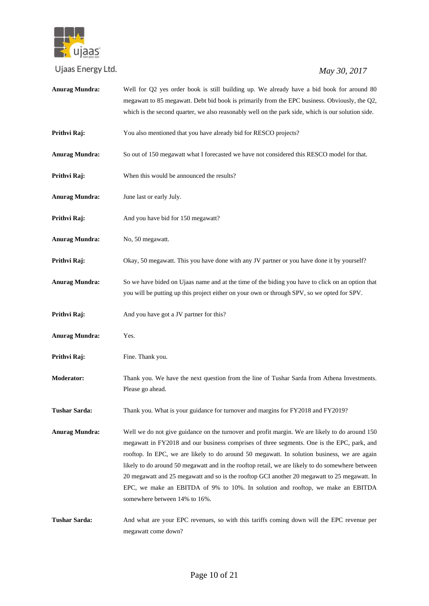

| <b>Anurag Mundra:</b> | Well for Q2 yes order book is still building up. We already have a bid book for around 80<br>megawatt to 85 megawatt. Debt bid book is primarily from the EPC business. Obviously, the Q2,<br>which is the second quarter, we also reasonably well on the park side, which is our solution side.                                                                                                                                                                                                                                                                                                                    |
|-----------------------|---------------------------------------------------------------------------------------------------------------------------------------------------------------------------------------------------------------------------------------------------------------------------------------------------------------------------------------------------------------------------------------------------------------------------------------------------------------------------------------------------------------------------------------------------------------------------------------------------------------------|
| Prithvi Raj:          | You also mentioned that you have already bid for RESCO projects?                                                                                                                                                                                                                                                                                                                                                                                                                                                                                                                                                    |
| <b>Anurag Mundra:</b> | So out of 150 megawatt what I forecasted we have not considered this RESCO model for that.                                                                                                                                                                                                                                                                                                                                                                                                                                                                                                                          |
| Prithvi Raj:          | When this would be announced the results?                                                                                                                                                                                                                                                                                                                                                                                                                                                                                                                                                                           |
| <b>Anurag Mundra:</b> | June last or early July.                                                                                                                                                                                                                                                                                                                                                                                                                                                                                                                                                                                            |
| Prithvi Raj:          | And you have bid for 150 megawatt?                                                                                                                                                                                                                                                                                                                                                                                                                                                                                                                                                                                  |
| <b>Anurag Mundra:</b> | No, 50 megawatt.                                                                                                                                                                                                                                                                                                                                                                                                                                                                                                                                                                                                    |
| Prithvi Raj:          | Okay, 50 megawatt. This you have done with any JV partner or you have done it by yourself?                                                                                                                                                                                                                                                                                                                                                                                                                                                                                                                          |
| <b>Anurag Mundra:</b> | So we have bided on Ujaas name and at the time of the biding you have to click on an option that<br>you will be putting up this project either on your own or through SPV, so we opted for SPV.                                                                                                                                                                                                                                                                                                                                                                                                                     |
| Prithvi Raj:          | And you have got a JV partner for this?                                                                                                                                                                                                                                                                                                                                                                                                                                                                                                                                                                             |
| <b>Anurag Mundra:</b> | Yes.                                                                                                                                                                                                                                                                                                                                                                                                                                                                                                                                                                                                                |
| Prithvi Raj:          | Fine. Thank you.                                                                                                                                                                                                                                                                                                                                                                                                                                                                                                                                                                                                    |
| <b>Moderator:</b>     | Thank you. We have the next question from the line of Tushar Sarda from Athena Investments.<br>Please go ahead.                                                                                                                                                                                                                                                                                                                                                                                                                                                                                                     |
| <b>Tushar Sarda:</b>  | Thank you. What is your guidance for turnover and margins for FY2018 and FY2019?                                                                                                                                                                                                                                                                                                                                                                                                                                                                                                                                    |
| <b>Anurag Mundra:</b> | Well we do not give guidance on the turnover and profit margin. We are likely to do around 150<br>megawatt in FY2018 and our business comprises of three segments. One is the EPC, park, and<br>rooftop. In EPC, we are likely to do around 50 megawatt. In solution business, we are again<br>likely to do around 50 megawatt and in the rooftop retail, we are likely to do somewhere between<br>20 megawatt and 25 megawatt and so is the rooftop GCI another 20 megawatt to 25 megawatt. In<br>EPC, we make an EBITDA of 9% to 10%. In solution and rooftop, we make an EBITDA<br>somewhere between 14% to 16%. |
| <b>Tushar Sarda:</b>  | And what are your EPC revenues, so with this tariffs coming down will the EPC revenue per<br>megawatt come down?                                                                                                                                                                                                                                                                                                                                                                                                                                                                                                    |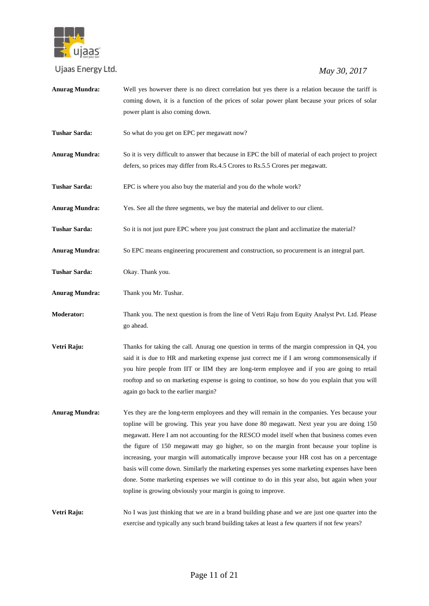

# *May 30, 2017*

**Anurag Mundra:** Well yes however there is no direct correlation but yes there is a relation because the tariff is coming down, it is a function of the prices of solar power plant because your prices of solar power plant is also coming down. **Tushar Sarda:** So what do you get on EPC per megawatt now? **Anurag Mundra:** So it is very difficult to answer that because in EPC the bill of material of each project to project defers, so prices may differ from Rs.4.5 Crores to Rs.5.5 Crores per megawatt. **Tushar Sarda:** EPC is where you also buy the material and you do the whole work? **Anurag Mundra:** Yes. See all the three segments, we buy the material and deliver to our client. **Tushar Sarda:** So it is not just pure EPC where you just construct the plant and acclimatize the material? **Anurag Mundra:** So EPC means engineering procurement and construction, so procurement is an integral part. **Tushar Sarda:** Okay. Thank you. **Anurag Mundra:** Thank you Mr. Tushar. **Moderator:** Thank you. The next question is from the line of Vetri Raju from Equity Analyst Pvt. Ltd. Please go ahead. **Vetri Raju:** Thanks for taking the call. Anurag one question in terms of the margin compression in Q4, you said it is due to HR and marketing expense just correct me if I am wrong commonsensically if you hire people from IIT or IIM they are long-term employee and if you are going to retail rooftop and so on marketing expense is going to continue, so how do you explain that you will again go back to the earlier margin? **Anurag Mundra:** Yes they are the long-term employees and they will remain in the companies. Yes because your topline will be growing. This year you have done 80 megawatt. Next year you are doing 150 megawatt. Here I am not accounting for the RESCO model itself when that business comes even the figure of 150 megawatt may go higher, so on the margin front because your topline is increasing, your margin will automatically improve because your HR cost has on a percentage basis will come down. Similarly the marketing expenses yes some marketing expenses have been done. Some marketing expenses we will continue to do in this year also, but again when your topline is growing obviously your margin is going to improve. **Vetri Raju:** No I was just thinking that we are in a brand building phase and we are just one quarter into the exercise and typically any such brand building takes at least a few quarters if not few years?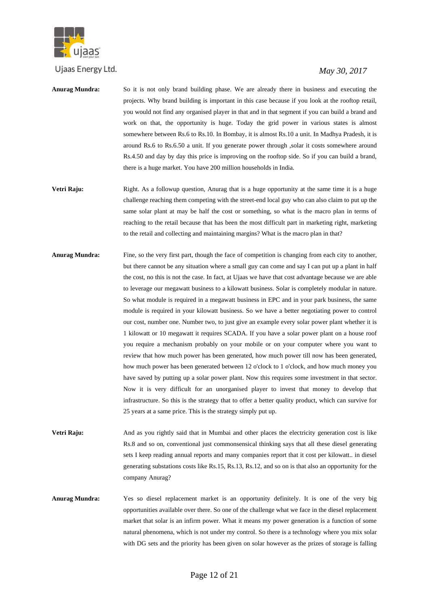

- **Anurag Mundra:** So it is not only brand building phase. We are already there in business and executing the projects. Why brand building is important in this case because if you look at the rooftop retail, you would not find any organised player in that and in that segment if you can build a brand and work on that, the opportunity is huge. Today the grid power in various states is almost somewhere between Rs.6 to Rs.10. In Bombay, it is almost Rs.10 a unit. In Madhya Pradesh, it is around Rs.6 to Rs.6.50 a unit. If you generate power through ,solar it costs somewhere around Rs.4.50 and day by day this price is improving on the rooftop side. So if you can build a brand, there is a huge market. You have 200 million households in India.
- **Vetri Raju:** Right. As a followup question, Anurag that is a huge opportunity at the same time it is a huge challenge reaching them competing with the street-end local guy who can also claim to put up the same solar plant at may be half the cost or something, so what is the macro plan in terms of reaching to the retail because that has been the most difficult part in marketing right, marketing to the retail and collecting and maintaining margins? What is the macro plan in that?
- **Anurag Mundra:** Fine, so the very first part, though the face of competition is changing from each city to another, but there cannot be any situation where a small guy can come and say I can put up a plant in half the cost, no this is not the case. In fact, at Ujaas we have that cost advantage because we are able to leverage our megawatt business to a kilowatt business. Solar is completely modular in nature. So what module is required in a megawatt business in EPC and in your park business, the same module is required in your kilowatt business. So we have a better negotiating power to control our cost, number one. Number two, to just give an example every solar power plant whether it is 1 kilowatt or 10 megawatt it requires SCADA. If you have a solar power plant on a house roof you require a mechanism probably on your mobile or on your computer where you want to review that how much power has been generated, how much power till now has been generated, how much power has been generated between 12 o'clock to 1 o'clock, and how much money you have saved by putting up a solar power plant. Now this requires some investment in that sector. Now it is very difficult for an unorganised player to invest that money to develop that infrastructure. So this is the strategy that to offer a better quality product, which can survive for 25 years at a same price. This is the strategy simply put up.
- **Vetri Raju:** And as you rightly said that in Mumbai and other places the electricity generation cost is like Rs.8 and so on, conventional just commonsensical thinking says that all these diesel generating sets I keep reading annual reports and many companies report that it cost per kilowatt.. in diesel generating substations costs like Rs.15, Rs.13, Rs.12, and so on is that also an opportunity for the company Anurag?
- **Anurag Mundra:** Yes so diesel replacement market is an opportunity definitely. It is one of the very big opportunities available over there. So one of the challenge what we face in the diesel replacement market that solar is an infirm power. What it means my power generation is a function of some natural phenomena, which is not under my control. So there is a technology where you mix solar with DG sets and the priority has been given on solar however as the prizes of storage is falling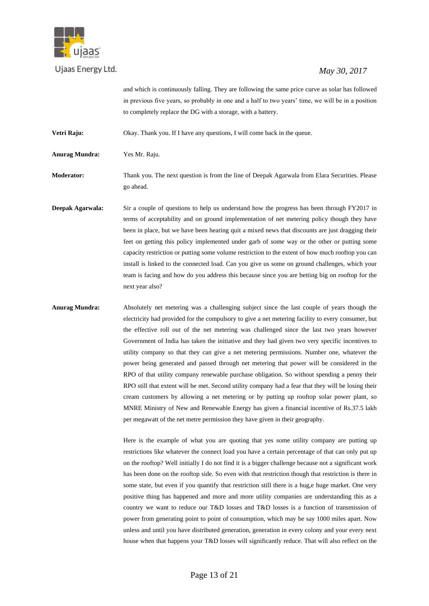

## *May 30, 2017*

and which is continuously falling. They are following the same price curve as solar has followed in previous five years, so probably in one and a half to two years' time, we will be in a position to completely replace the DG with a storage, with a battery.

**Vetri Raju:** Okay. Thank you. If I have any questions, I will come back in the queue.

**Anurag Mundra:** Yes Mr. Raju.

**Moderator:** Thank you. The next question is from the line of Deepak Agarwala from Elara Securities. Please go ahead.

**Deepak Agarwala:** Sir a couple of questions to help us understand how the progress has been through FY2017 in terms of acceptability and on ground implementation of net metering policy though they have been in place, but we have been hearing quit a mixed news that discounts are just dragging their feet on getting this policy implemented under garb of some way or the other or putting some capacity restriction or putting some volume restriction to the extent of how much rooftop you can install is linked to the connected load. Can you give us some on ground challenges, which your team is facing and how do you address this because since you are betting big on rooftop for the next year also?

**Anurag Mundra:** Absolutely net metering was a challenging subject since the last couple of years though the electricity had provided for the compulsory to give a net metering facility to every consumer, but the effective roll out of the net metering was challenged since the last two years however Government of India has taken the initiative and they had given two very specific incentives to utility company so that they can give a net metering permissions. Number one, whatever the power being generated and passed through net metering that power will be considered in the RPO of that utility company renewable purchase obligation. So without spending a penny their RPO still that extent will be met. Second utility company had a fear that they will be losing their cream customers by allowing a net metering or by putting up rooftop solar power plant, so MNRE Ministry of New and Renewable Energy has given a financial incentive of Rs.37.5 lakh per megawatt of the net metre permission they have given in their geography.

> Here is the example of what you are quoting that yes some utility company are putting up restrictions like whatever the connect load you have a certain percentage of that can only put up on the rooftop? Well initially I do not find it is a bigger challenge because not a significant work has been done on the rooftop side. So even with that restriction though that restriction is there in some state, but even if you quantify that restriction still there is a hug,e huge market. One very positive thing has happened and more and more utility companies are understanding this as a country we want to reduce our T&D losses and T&D losses is a function of transmission of power from generating point to point of consumption, which may be say 1000 miles apart. Now unless and until you have distributed generation, generation in every colony and your every next house when that happens your T&D losses will significantly reduce. That will also reflect on the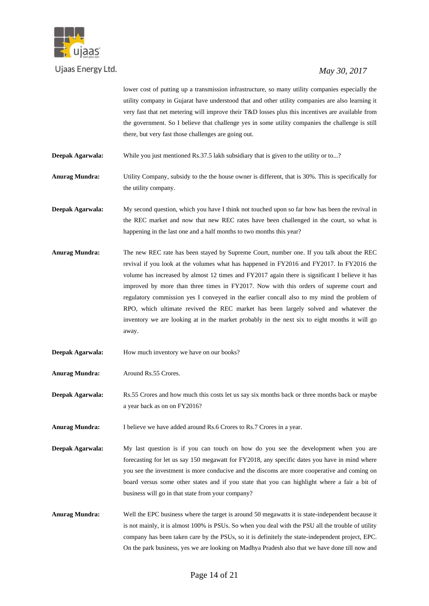

# *May 30, 2017*

lower cost of putting up a transmission infrastructure, so many utility companies especially the utility company in Gujarat have understood that and other utility companies are also learning it very fast that net metering will improve their T&D losses plus this incentives are available from the government. So I believe that challenge yes in some utility companies the challenge is still there, but very fast those challenges are going out.

**Deepak Agarwala:** While you just mentioned Rs.37.5 lakh subsidiary that is given to the utility or to...?

**Anurag Mundra:** Utility Company, subsidy to the the house owner is different, that is 30%. This is specifically for the utility company.

**Deepak Agarwala:** My second question, which you have I think not touched upon so far how has been the revival in the REC market and now that new REC rates have been challenged in the court, so what is happening in the last one and a half months to two months this year?

- **Anurag Mundra:** The new REC rate has been stayed by Supreme Court, number one. If you talk about the REC revival if you look at the volumes what has happened in FY2016 and FY2017. In FY2016 the volume has increased by almost 12 times and FY2017 again there is significant I believe it has improved by more than three times in FY2017. Now with this orders of supreme court and regulatory commission yes I conveyed in the earlier concall also to my mind the problem of RPO, which ultimate revived the REC market has been largely solved and whatever the inventory we are looking at in the market probably in the next six to eight months it will go away.
- **Deepak Agarwala:** How much inventory we have on our books?
- **Anurag Mundra:** Around Rs.55 Crores.

**Deepak Agarwala:** Rs.55 Crores and how much this costs let us say six months back or three months back or maybe a year back as on on FY2016?

**Anurag Mundra:** I believe we have added around Rs.6 Crores to Rs.7 Crores in a year.

**Deepak Agarwala:** My last question is if you can touch on how do you see the development when you are forecasting for let us say 150 megawatt for FY2018, any specific dates you have in mind where you see the investment is more conducive and the discoms are more cooperative and coming on board versus some other states and if you state that you can highlight where a fair a bit of business will go in that state from your company?

**Anurag Mundra:** Well the EPC business where the target is around 50 megawatts it is state-independent because it is not mainly, it is almost 100% is PSUs. So when you deal with the PSU all the trouble of utility company has been taken care by the PSUs, so it is definitely the state-independent project, EPC. On the park business, yes we are looking on Madhya Pradesh also that we have done till now and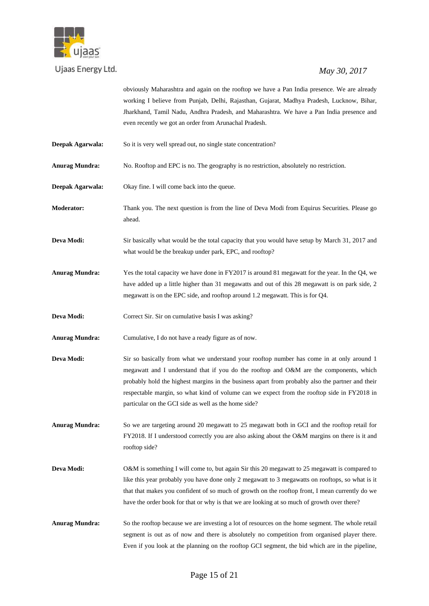

#### *May 30, 2017*

obviously Maharashtra and again on the rooftop we have a Pan India presence. We are already working I believe from Punjab, Delhi, Rajasthan, Gujarat, Madhya Pradesh, Lucknow, Bihar, Jharkhand, Tamil Nadu, Andhra Pradesh, and Maharashtra. We have a Pan India presence and even recently we got an order from Arunachal Pradesh.

**Deepak Agarwala:** So it is very well spread out, no single state concentration?

**Anurag Mundra:** No. Rooftop and EPC is no. The geography is no restriction, absolutely no restriction.

**Deepak Agarwala:** Okay fine. I will come back into the queue.

**Moderator:** Thank you. The next question is from the line of Deva Modi from Equirus Securities. Please go ahead.

**Deva Modi:** Sir basically what would be the total capacity that you would have setup by March 31, 2017 and what would be the breakup under park, EPC, and rooftop?

**Anurag Mundra:** Yes the total capacity we have done in FY2017 is around 81 megawatt for the year. In the Q4, we have added up a little higher than 31 megawatts and out of this 28 megawatt is on park side, 2 megawatt is on the EPC side, and rooftop around 1.2 megawatt. This is for Q4.

**Deva Modi:** Correct Sir. Sir on cumulative basis I was asking?

**Anurag Mundra:** Cumulative, I do not have a ready figure as of now.

**Deva Modi:** Sir so basically from what we understand your rooftop number has come in at only around 1 megawatt and I understand that if you do the rooftop and O&M are the components, which probably hold the highest margins in the business apart from probably also the partner and their respectable margin, so what kind of volume can we expect from the rooftop side in FY2018 in particular on the GCI side as well as the home side?

**Anurag Mundra:** So we are targeting around 20 megawatt to 25 megawatt both in GCI and the rooftop retail for FY2018. If I understood correctly you are also asking about the O&M margins on there is it and rooftop side?

- **Deva Modi:** O&M is something I will come to, but again Sir this 20 megawatt to 25 megawatt is compared to like this year probably you have done only 2 megawatt to 3 megawatts on rooftops, so what is it that that makes you confident of so much of growth on the rooftop front, I mean currently do we have the order book for that or why is that we are looking at so much of growth over there?
- **Anurag Mundra:** So the rooftop because we are investing a lot of resources on the home segment. The whole retail segment is out as of now and there is absolutely no competition from organised player there. Even if you look at the planning on the rooftop GCI segment, the bid which are in the pipeline,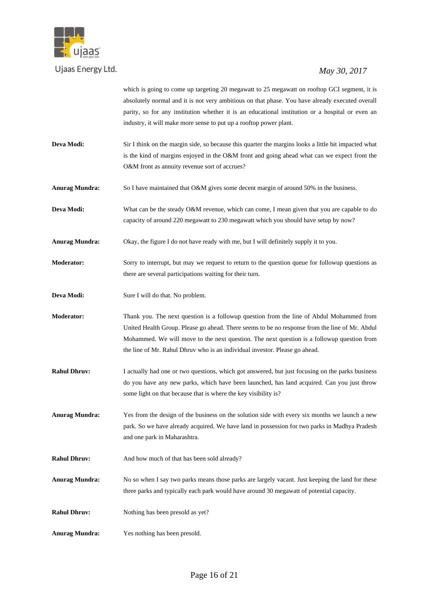

# *May 30, 2017*

which is going to come up targeting 20 megawatt to 25 megawatt on rooftop GCI segment, it is absolutely normal and it is not very ambitious on that phase. You have already executed overall parity, so for any institution whether it is an educational institution or a hospital or even an industry, it will make more sense to put up a rooftop power plant.

- **Deva Modi:** Sir I think on the margin side, so because this quarter the margins looks a little bit impacted what is the kind of margins enjoyed in the O&M front and going ahead what can we expect from the O&M front as annuity revenue sort of accrues?
- **Anurag Mundra:** So I have maintained that O&M gives some decent margin of around 50% in the business.

**Deva Modi:** What can be the steady O&M revenue, which can come, I mean given that you are capable to do capacity of around 220 megawatt to 230 megawatt which you should have setup by now?

**Anurag Mundra:** Okay, the figure I do not have ready with me, but I will definitely supply it to you.

**Moderator:** Sorry to interrupt, but may we request to return to the question queue for followup questions as there are several participations waiting for their turn.

**Deva Modi:** Sure I will do that. No problem.

**Moderator:** Thank you. The next question is a followup question from the line of Abdul Mohammed from United Health Group. Please go ahead. There seems to be no response from the line of Mr. Abdul Mohammed. We will move to the next question. The next question is a followup question from the line of Mr. Rahul Dhruv who is an individual investor. Please go ahead.

**Rahul Dhruv:** I actually had one or two questions, which got answered, but just focusing on the parks business do you have any new parks, which have been launched, has land acquired. Can you just throw some light on that because that is where the key visibility is?

**Anurag Mundra:** Yes from the design of the business on the solution side with every six months we launch a new park. So we have already acquired. We have land in possession for two parks in Madhya Pradesh and one park in Maharashtra.

**Rahul Dhruv:** And how much of that has been sold already?

- **Anurag Mundra:** No so when I say two parks means those parks are largely vacant. Just keeping the land for these three parks and typically each park would have around 30 megawatt of potential capacity.
- **Rahul Dhruv:** Nothing has been presold as yet?
- **Anurag Mundra:** Yes nothing has been presold.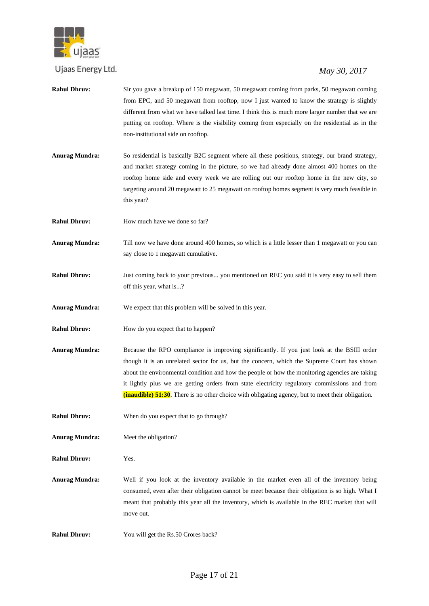

- **Rahul Dhruv:** Sir you gave a breakup of 150 megawatt, 50 megawatt coming from parks, 50 megawatt coming from EPC, and 50 megawatt from rooftop, now I just wanted to know the strategy is slightly different from what we have talked last time. I think this is much more larger number that we are putting on rooftop. Where is the visibility coming from especially on the residential as in the non-institutional side on rooftop. **Anurag Mundra:** So residential is basically B2C segment where all these positions, strategy, our brand strategy, and market strategy coming in the picture, so we had already done almost 400 homes on the
	- rooftop home side and every week we are rolling out our rooftop home in the new city, so targeting around 20 megawatt to 25 megawatt on rooftop homes segment is very much feasible in this year?
- **Rahul Dhruv:** How much have we done so far?
- **Anurag Mundra:** Till now we have done around 400 homes, so which is a little lesser than 1 megawatt or you can say close to 1 megawatt cumulative.
- **Rahul Dhruv:** Just coming back to your previous... you mentioned on REC you said it is very easy to sell them off this year, what is...?
- **Anurag Mundra:** We expect that this problem will be solved in this year.
- **Rahul Dhruv:** How do you expect that to happen?
- **Anurag Mundra:** Because the RPO compliance is improving significantly. If you just look at the BSIII order though it is an unrelated sector for us, but the concern, which the Supreme Court has shown about the environmental condition and how the people or how the monitoring agencies are taking it lightly plus we are getting orders from state electricity regulatory commissions and from **(inaudible) 51:30**. There is no other choice with obligating agency, but to meet their obligation.
- **Rahul Dhruv:** When do you expect that to go through?
- **Anurag Mundra:** Meet the obligation?
- **Rahul Dhruv:** Yes.
- **Anurag Mundra:** Well if you look at the inventory available in the market even all of the inventory being consumed, even after their obligation cannot be meet because their obligation is so high. What I meant that probably this year all the inventory, which is available in the REC market that will move out.
- **Rahul Dhruv:** You will get the Rs.50 Crores back?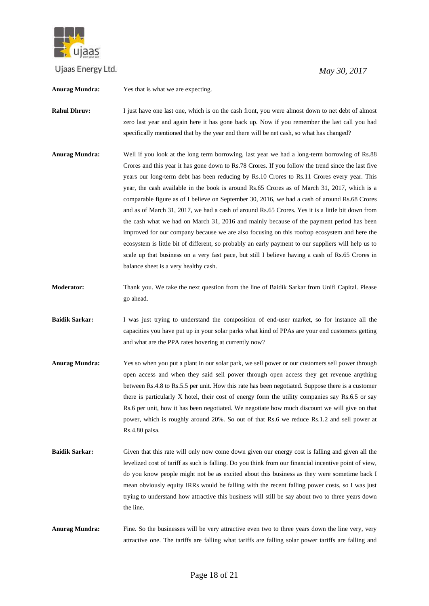

 *May 30, 2017*

**Anurag Mundra:** Yes that is what we are expecting.

**Rahul Dhruv:** I just have one last one, which is on the cash front, you were almost down to net debt of almost zero last year and again here it has gone back up. Now if you remember the last call you had specifically mentioned that by the year end there will be net cash, so what has changed?

- **Anurag Mundra:** Well if you look at the long term borrowing, last year we had a long-term borrowing of Rs.88 Crores and this year it has gone down to Rs.78 Crores. If you follow the trend since the last five years our long-term debt has been reducing by Rs.10 Crores to Rs.11 Crores every year. This year, the cash available in the book is around Rs.65 Crores as of March 31, 2017, which is a comparable figure as of I believe on September 30, 2016, we had a cash of around Rs.68 Crores and as of March 31, 2017, we had a cash of around Rs.65 Crores. Yes it is a little bit down from the cash what we had on March 31, 2016 and mainly because of the payment period has been improved for our company because we are also focusing on this rooftop ecosystem and here the ecosystem is little bit of different, so probably an early payment to our suppliers will help us to scale up that business on a very fast pace, but still I believe having a cash of Rs.65 Crores in balance sheet is a very healthy cash.
- **Moderator:** Thank you. We take the next question from the line of Baidik Sarkar from Unifi Capital. Please go ahead.
- **Baidik Sarkar:** I was just trying to understand the composition of end-user market, so for instance all the capacities you have put up in your solar parks what kind of PPAs are your end customers getting and what are the PPA rates hovering at currently now?
- **Anurag Mundra:** Yes so when you put a plant in our solar park, we sell power or our customers sell power through open access and when they said sell power through open access they get revenue anything between Rs.4.8 to Rs.5.5 per unit. How this rate has been negotiated. Suppose there is a customer there is particularly X hotel, their cost of energy form the utility companies say Rs.6.5 or say Rs.6 per unit, how it has been negotiated. We negotiate how much discount we will give on that power, which is roughly around 20%. So out of that Rs.6 we reduce Rs.1.2 and sell power at Rs.4.80 paisa.
- **Baidik Sarkar:** Given that this rate will only now come down given our energy cost is falling and given all the levelized cost of tariff as such is falling. Do you think from our financial incentive point of view, do you know people might not be as excited about this business as they were sometime back I mean obviously equity IRRs would be falling with the recent falling power costs, so I was just trying to understand how attractive this business will still be say about two to three years down the line.
- **Anurag Mundra:** Fine. So the businesses will be very attractive even two to three years down the line very, very attractive one. The tariffs are falling what tariffs are falling solar power tariffs are falling and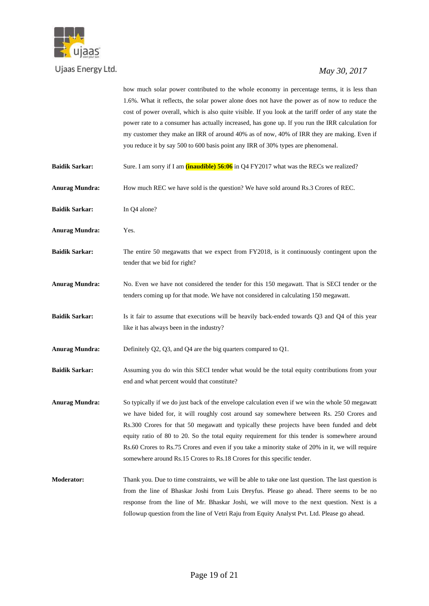

# *May 30, 2017*

how much solar power contributed to the whole economy in percentage terms, it is less than 1.6%. What it reflects, the solar power alone does not have the power as of now to reduce the cost of power overall, which is also quite visible. If you look at the tariff order of any state the power rate to a consumer has actually increased, has gone up. If you run the IRR calculation for my customer they make an IRR of around 40% as of now, 40% of IRR they are making. Even if you reduce it by say 500 to 600 basis point any IRR of 30% types are phenomenal.

- **Baidik Sarkar:** Sure. I am sorry if I am **(inaudible) 56:06** in Q4 FY2017 what was the RECs we realized?
- **Anurag Mundra:** How much REC we have sold is the question? We have sold around Rs.3 Crores of REC.
- **Baidik Sarkar:** In Q4 alone?
- **Anurag Mundra:** Yes.
- **Baidik Sarkar:** The entire 50 megawatts that we expect from FY2018, is it continuously contingent upon the tender that we bid for right?
- **Anurag Mundra:** No. Even we have not considered the tender for this 150 megawatt. That is SECI tender or the tenders coming up for that mode. We have not considered in calculating 150 megawatt.
- **Baidik Sarkar:** Is it fair to assume that executions will be heavily back-ended towards Q3 and Q4 of this year like it has always been in the industry?
- **Anurag Mundra:** Definitely Q2, Q3, and Q4 are the big quarters compared to Q1.
- **Baidik Sarkar:** Assuming you do win this SECI tender what would be the total equity contributions from your end and what percent would that constitute?
- **Anurag Mundra:** So typically if we do just back of the envelope calculation even if we win the whole 50 megawatt we have bided for, it will roughly cost around say somewhere between Rs. 250 Crores and Rs.300 Crores for that 50 megawatt and typically these projects have been funded and debt equity ratio of 80 to 20. So the total equity requirement for this tender is somewhere around Rs.60 Crores to Rs.75 Crores and even if you take a minority stake of 20% in it, we will require somewhere around Rs.15 Crores to Rs.18 Crores for this specific tender.
- **Moderator:** Thank you. Due to time constraints, we will be able to take one last question. The last question is from the line of Bhaskar Joshi from Luis Dreyfus. Please go ahead. There seems to be no response from the line of Mr. Bhaskar Joshi, we will move to the next question. Next is a followup question from the line of Vetri Raju from Equity Analyst Pvt. Ltd. Please go ahead.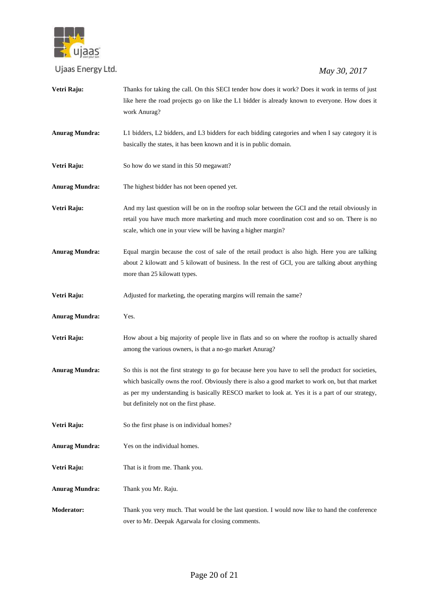

| Vetri Raju:           | Thanks for taking the call. On this SECI tender how does it work? Does it work in terms of just      |
|-----------------------|------------------------------------------------------------------------------------------------------|
|                       | like here the road projects go on like the L1 bidder is already known to everyone. How does it       |
|                       | work Anurag?                                                                                         |
| <b>Anurag Mundra:</b> | L1 bidders, L2 bidders, and L3 bidders for each bidding categories and when I say category it is     |
|                       | basically the states, it has been known and it is in public domain.                                  |
| Vetri Raju:           | So how do we stand in this 50 megawatt?                                                              |
| <b>Anurag Mundra:</b> | The highest bidder has not been opened yet.                                                          |
| Vetri Raju:           | And my last question will be on in the rooftop solar between the GCI and the retail obviously in     |
|                       | retail you have much more marketing and much more coordination cost and so on. There is no           |
|                       | scale, which one in your view will be having a higher margin?                                        |
| <b>Anurag Mundra:</b> | Equal margin because the cost of sale of the retail product is also high. Here you are talking       |
|                       | about 2 kilowatt and 5 kilowatt of business. In the rest of GCI, you are talking about anything      |
|                       | more than 25 kilowatt types.                                                                         |
| Vetri Raju:           | Adjusted for marketing, the operating margins will remain the same?                                  |
| <b>Anurag Mundra:</b> | Yes.                                                                                                 |
| Vetri Raju:           | How about a big majority of people live in flats and so on where the rooftop is actually shared      |
|                       | among the various owners, is that a no-go market Anurag?                                             |
| <b>Anurag Mundra:</b> | So this is not the first strategy to go for because here you have to sell the product for societies, |
|                       | which basically owns the roof. Obviously there is also a good market to work on, but that market     |
|                       | as per my understanding is basically RESCO market to look at. Yes it is a part of our strategy,      |
|                       | but definitely not on the first phase.                                                               |
| Vetri Raju:           | So the first phase is on individual homes?                                                           |
| <b>Anurag Mundra:</b> | Yes on the individual homes.                                                                         |
| Vetri Raju:           | That is it from me. Thank you.                                                                       |
| <b>Anurag Mundra:</b> | Thank you Mr. Raju.                                                                                  |
| <b>Moderator:</b>     | Thank you very much. That would be the last question. I would now like to hand the conference        |
|                       | over to Mr. Deepak Agarwala for closing comments.                                                    |